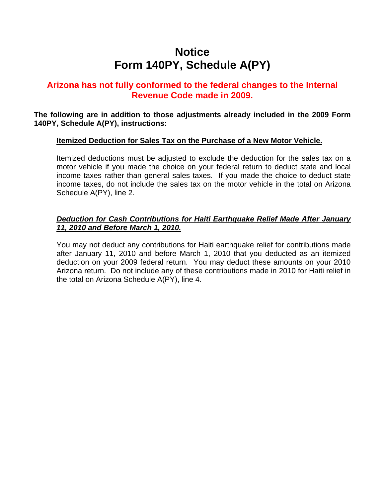# **Notice Form 140PY, Schedule A(PY)**

### **Arizona has not fully conformed to the federal changes to the Internal Revenue Code made in 2009.**

**The following are in addition to those adjustments already included in the 2009 Form 140PY, Schedule A(PY), instructions:** 

#### **Itemized Deduction for Sales Tax on the Purchase of a New Motor Vehicle.**

Itemized deductions must be adjusted to exclude the deduction for the sales tax on a motor vehicle if you made the choice on your federal return to deduct state and local income taxes rather than general sales taxes. If you made the choice to deduct state income taxes, do not include the sales tax on the motor vehicle in the total on Arizona Schedule A(PY), line 2.

#### *Deduction for Cash Contributions for Haiti Earthquake Relief Made After January 11, 2010 and Before March 1, 2010.*

You may not deduct any contributions for Haiti earthquake relief for contributions made after January 11, 2010 and before March 1, 2010 that you deducted as an itemized deduction on your 2009 federal return. You may deduct these amounts on your 2010 Arizona return. Do not include any of these contributions made in 2010 for Haiti relief in the total on Arizona Schedule A(PY), line 4.